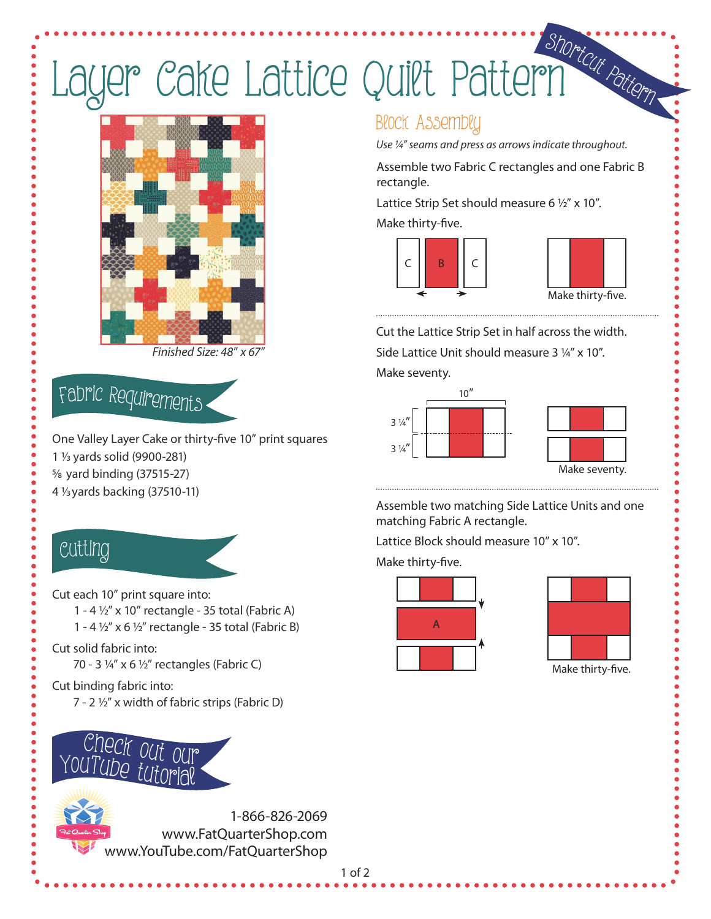# Layer Cake Lattice Quilt Pattern



*Finished Size: 48*" *x 67*"

## <sup>F</sup>abri<sup>c</sup> <sup>R</sup><sup>e</sup>quirement<sup>s</sup>

One Valley Layer Cake or thirty-five 10" print squares 1 1/3 yards solid (9900-281) 5/8 yard binding (37515-27) 4 1/3 yards backing (37510-11)

### Cutti<sup>n</sup>g

Cut each 10" print square into: 1 - 4 1/2" x 10" rectangle - 35 total (Fabric A)

- 1 4  $\frac{1}{2}$ " x 6  $\frac{1}{2}$ " rectangle 35 total (Fabric B)
- Cut solid fabric into:
	- 70 3 1/4" x 6 1/2" rectangles (Fabric C)

#### Cut binding fabric into:

7 - 2 ½" x width of fabric strips (Fabric D)



### Block Assembly

*Use ¼" seams and press as arrows indicate throughout.*

Assemble two Fabric C rectangles and one Fabric B rectangle.

Lattice Strip Set should measure 6  $1/2$ " x 10".

Make thirty-five.





Cut the Lattice Strip Set in half across the width. Side Lattice Unit should measure 3 ¼" x 10".

Make seventy.



Assemble two matching Side Lattice Units and one matching Fabric A rectangle.

Lattice Block should measure 10" x 10".

Make thirty-five.





Make thirty-five.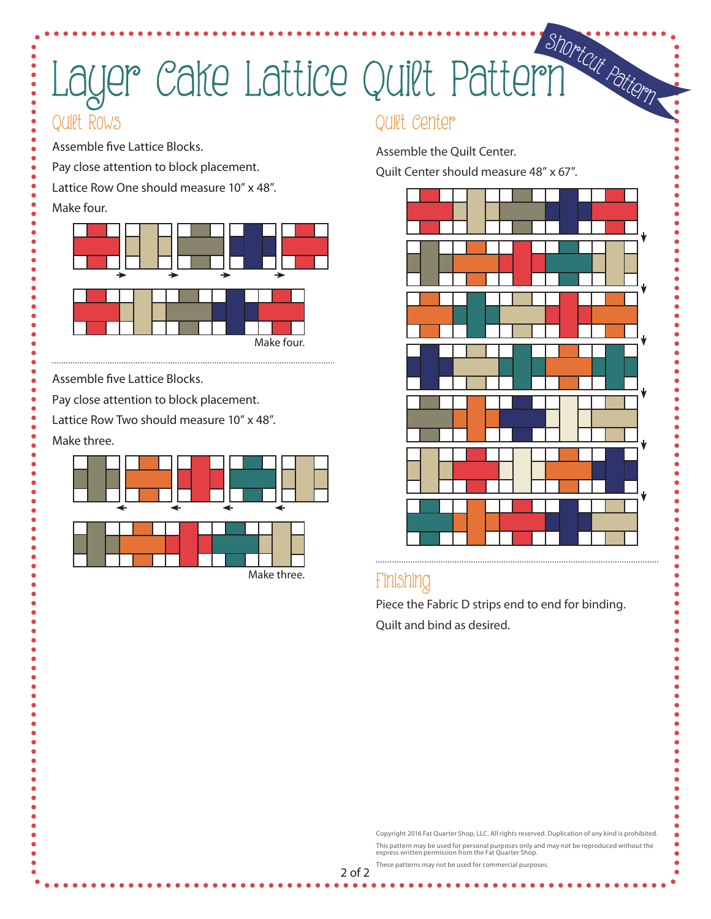# Layer Cake Lattice Quilt Pattern

### Quilt Rows

Assemble five Lattice Blocks.

Pay close attention to block placement.

Lattice Row One should measure 10" x 48".

#### Make four.



Assemble five Lattice Blocks.

Pay close attention to block placement.

Lattice Row Two should measure 10" x 48".

Make three.



### Quilt Center

Assemble the Quilt Center.

Quilt Center should measure 48" x 67".



### Finishing

Piece the Fabric D strips end to end for binding. Quilt and bind as desired.

Copyright 2016 Fat Quarter Shop, LLC. All rights reserved. Duplication of any kind is prohibited. This pattern may be used for personal purposes only and may not be reproduced without the express written permission from the Fat Quarter Shop.

These patterns may not be used for commercial purposes.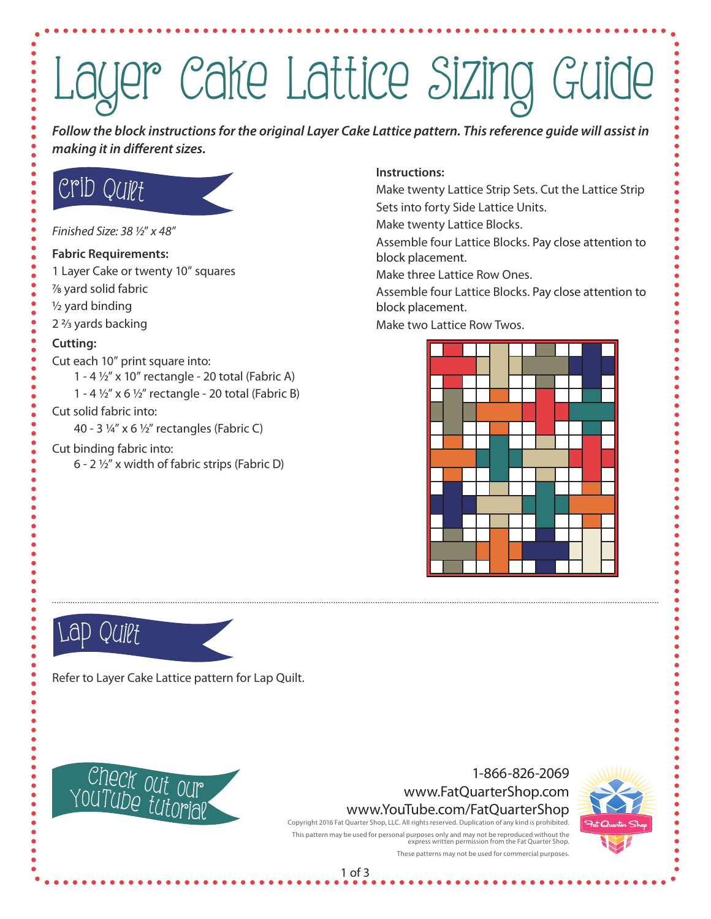# Layer Cake Lattice Sizing Guide

*Follow the block instructions for the original Layer Cake Lattice pattern. This reference guide will assist in making it in different sizes.*

## Crib Quilt

*Finished Size: 38 1/2*" *x 48*"

#### **Fabric Requirements:**

- 1 Layer Cake or twenty 10" squares
- 7/8 yard solid fabric
- 1/2 yard binding
- 2 2/3 yards backing

#### **Cutting:**

- Cut each 10" print square into:
	- 1 4  $\frac{1}{2}$ " x 10" rectangle 20 total (Fabric A)
	- 1 4  $\frac{1}{2}$ " x 6  $\frac{1}{2}$ " rectangle 20 total (Fabric B)

#### Cut solid fabric into:

40 - 3 1/4" x 6 1/2" rectangles (Fabric C)

#### Cut binding fabric into:

6 - 2  $\frac{1}{2}$ " x width of fabric strips (Fabric D)

#### **Instructions:**

Make twenty Lattice Strip Sets. Cut the Lattice Strip Sets into forty Side Lattice Units.

Make twenty Lattice Blocks.

Assemble four Lattice Blocks. Pay close attention to block placement.

Make three Lattice Row Ones.

Assemble four Lattice Blocks. Pay close attention to block placement.

Make two Lattice Row Twos.



## Lap Quilt

Refer to Layer Cake Lattice pattern for Lap Quilt.



#### 1-866-826-2069 www.FatQuarterShop.com www.YouTube.com/FatQuarterShop Copyright 2016 Fat Quarter Shop, LLC. All rights reserved. Duplication of any kind is prohibited.

express written permission from the Fat Quarter Shop. These patterns may not be used for commercial purposes.

This pattern may be used for personal purposes only and may not be reproduced without the



1 of 3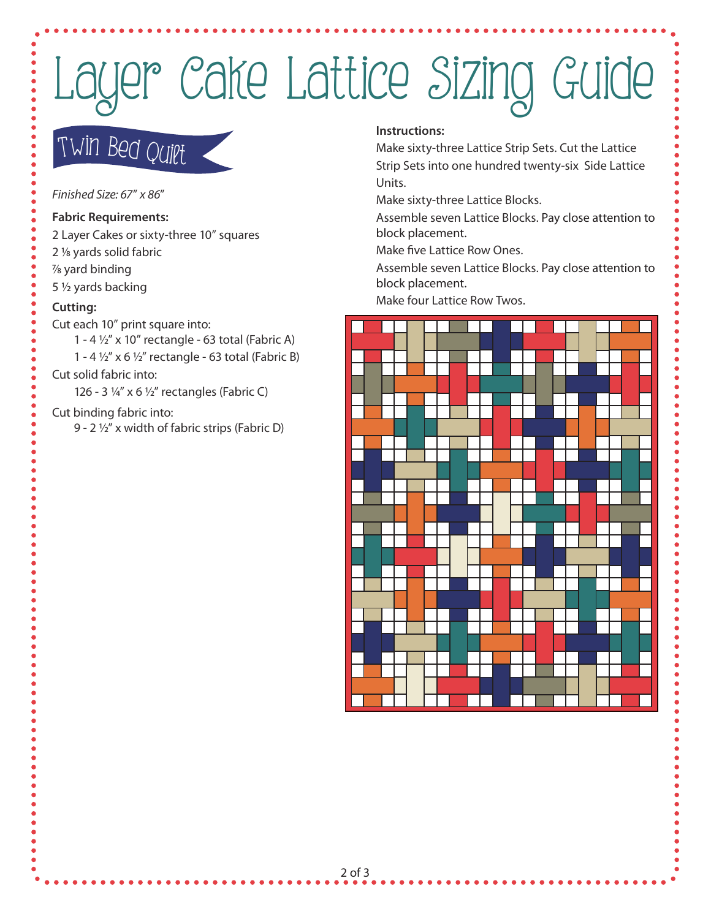# Layer Cake Lattice Sizing Guide

## Twi<sup>n</sup> <sup>B</sup>ed Quil<sup>t</sup>

*Finished Size: 67*" *x 86*"

#### **Fabric Requirements:**

- 2 Layer Cakes or sixty-three 10" squares
- 2 1/8 yards solid fabric
- 7/8 yard binding
- 5 1/2 yards backing

- Cut each 10" print square into:
	- 1 4  $\frac{1}{2}$ " x 10" rectangle 63 total (Fabric A)
		- 1 4  $\frac{1}{2}$ " x 6  $\frac{1}{2}$ " rectangle 63 total (Fabric B)

#### Cut solid fabric into:

126 - 3 1/4" x 6 1/2" rectangles (Fabric C)

#### Cut binding fabric into:

9 - 2 1/2" x width of fabric strips (Fabric D)

#### **Instructions:**

Make sixty-three Lattice Strip Sets. Cut the Lattice Strip Sets into one hundred twenty-six Side Lattice Units.

Make sixty-three Lattice Blocks.

Assemble seven Lattice Blocks. Pay close attention to block placement.

Make five Lattice Row Ones.

Assemble seven Lattice Blocks. Pay close attention to block placement.

Make four Lattice Row Twos. **Cutting:**